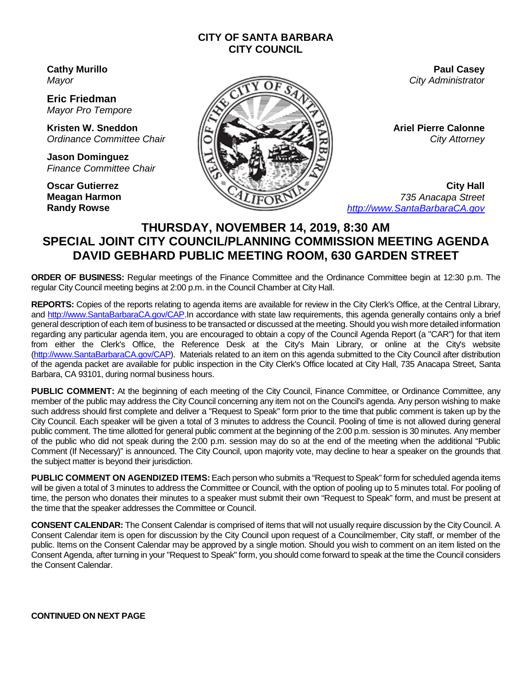#### **CITY OF SANTA BARBARA CITY COUNCIL**

**Cathy Murillo** *Mayor*

**Eric Friedman** *Mayor Pro Tempore*

**Kristen W. Sneddon** *Ordinance Committee Chair* 

**Jason Dominguez** *Finance Committee Chair*

**Oscar Gutierrez Meagan Harmon Randy Rowse**



**Paul Casey** *City Administrator*

**Ariel Pierre Calonne** *City Attorney*

**City Hall** *735 Anacapa Street [http://www.SantaBarbaraCA.gov](http://www.santabarbaraca.gov/)*

# **THURSDAY, NOVEMBER 14, 2019, 8:30 AM SPECIAL JOINT CITY COUNCIL/PLANNING COMMISSION MEETING AGENDA DAVID GEBHARD PUBLIC MEETING ROOM, 630 GARDEN STREET**

**ORDER OF BUSINESS:** Regular meetings of the Finance Committee and the Ordinance Committee begin at 12:30 p.m. The regular City Council meeting begins at 2:00 p.m. in the Council Chamber at City Hall.

**REPORTS:** Copies of the reports relating to agenda items are available for review in the City Clerk's Office, at the Central Library, and [http://www.SantaBarbaraCA.gov/](http://www.santabarbaraca.gov/)CAP.In accordance with state law requirements, this agenda generally contains only a brief general description of each item of business to be transacted or discussed at the meeting. Should you wish more detailed information regarding any particular agenda item, you are encouraged to obtain a copy of the Council Agenda Report (a "CAR") for that item from either the Clerk's Office, the Reference Desk at the City's Main Library, or online at the City's website [\(http://www.SantaBarbaraCA.gov/C](http://www.santabarbaraca.gov/)AP). Materials related to an item on this agenda submitted to the City Council after distribution of the agenda packet are available for public inspection in the City Clerk's Office located at City Hall, 735 Anacapa Street, Santa Barbara, CA 93101, during normal business hours.

**PUBLIC COMMENT:** At the beginning of each meeting of the City Council, Finance Committee, or Ordinance Committee, any member of the public may address the City Council concerning any item not on the Council's agenda. Any person wishing to make such address should first complete and deliver a "Request to Speak" form prior to the time that public comment is taken up by the City Council. Each speaker will be given a total of 3 minutes to address the Council. Pooling of time is not allowed during general public comment. The time allotted for general public comment at the beginning of the 2:00 p.m. session is 30 minutes. Any member of the public who did not speak during the 2:00 p.m. session may do so at the end of the meeting when the additional "Public Comment (If Necessary)" is announced. The City Council, upon majority vote, may decline to hear a speaker on the grounds that the subject matter is beyond their jurisdiction.

**PUBLIC COMMENT ON AGENDIZED ITEMS:** Each person who submits a "Request to Speak" form for scheduled agenda items will be given a total of 3 minutes to address the Committee or Council, with the option of pooling up to 5 minutes total. For pooling of time, the person who donates their minutes to a speaker must submit their own "Request to Speak" form, and must be present at the time that the speaker addresses the Committee or Council.

**CONSENT CALENDAR:** The Consent Calendar is comprised of items that will not usually require discussion by the City Council. A Consent Calendar item is open for discussion by the City Council upon request of a Councilmember, City staff, or member of the public. Items on the Consent Calendar may be approved by a single motion. Should you wish to comment on an item listed on the Consent Agenda, after turning in your "Request to Speak" form, you should come forward to speak at the time the Council considers the Consent Calendar.

**CONTINUED ON NEXT PAGE**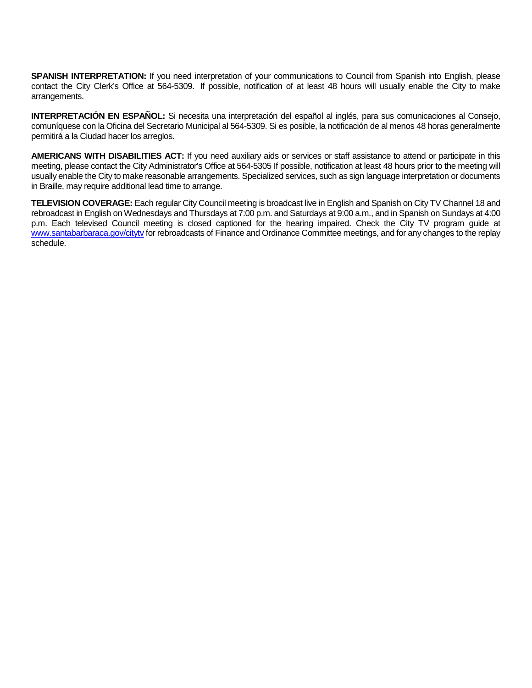**SPANISH INTERPRETATION:** If you need interpretation of your communications to Council from Spanish into English, please contact the City Clerk's Office at 564-5309. If possible, notification of at least 48 hours will usually enable the City to make arrangements.

**INTERPRETACIÓN EN ESPAÑOL:** Si necesita una interpretación del español al inglés, para sus comunicaciones al Consejo, comuníquese con la Oficina del Secretario Municipal al 564-5309. Si es posible, la notificación de al menos 48 horas generalmente permitirá a la Ciudad hacer los arreglos.

**AMERICANS WITH DISABILITIES ACT:** If you need auxiliary aids or services or staff assistance to attend or participate in this meeting, please contact the City Administrator's Office at 564-5305 If possible, notification at least 48 hours prior to the meeting will usually enable the City to make reasonable arrangements. Specialized services, such as sign language interpretation or documents in Braille, may require additional lead time to arrange.

**TELEVISION COVERAGE:** Each regular City Council meeting is broadcast live in English and Spanish on City TV Channel 18 and rebroadcast in English on Wednesdays and Thursdays at 7:00 p.m. and Saturdays at 9:00 a.m., and in Spanish on Sundays at 4:00 p.m. Each televised Council meeting is closed captioned for the hearing impaired. Check the City TV program guide at www.santabarbaraca.gov/cityty for rebroadcasts of Finance and Ordinance Committee meetings, and for any changes to the replay schedule.